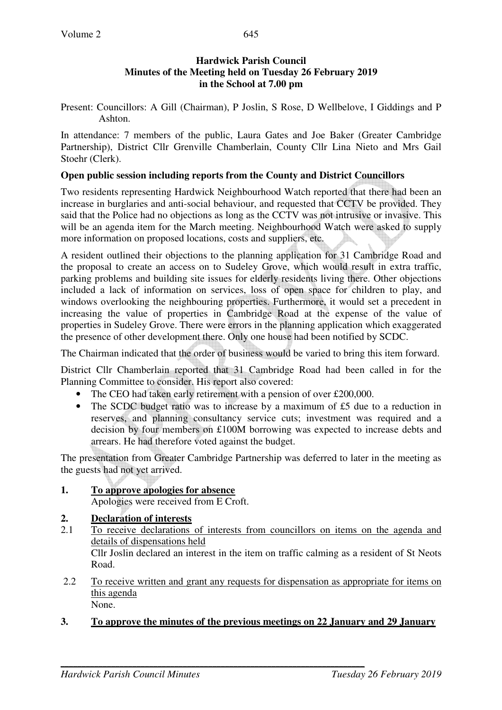Present: Councillors: A Gill (Chairman), P Joslin, S Rose, D Wellbelove, I Giddings and P Ashton.

In attendance: 7 members of the public, Laura Gates and Joe Baker (Greater Cambridge Partnership), District Cllr Grenville Chamberlain, County Cllr Lina Nieto and Mrs Gail Stoehr (Clerk).

#### **Open public session including reports from the County and District Councillors**

Two residents representing Hardwick Neighbourhood Watch reported that there had been an increase in burglaries and anti-social behaviour, and requested that CCTV be provided. They said that the Police had no objections as long as the CCTV was not intrusive or invasive. This will be an agenda item for the March meeting. Neighbourhood Watch were asked to supply more information on proposed locations, costs and suppliers, etc.

A resident outlined their objections to the planning application for 31 Cambridge Road and the proposal to create an access on to Sudeley Grove, which would result in extra traffic, parking problems and building site issues for elderly residents living there. Other objections included a lack of information on services, loss of open space for children to play, and windows overlooking the neighbouring properties. Furthermore, it would set a precedent in increasing the value of properties in Cambridge Road at the expense of the value of properties in Sudeley Grove. There were errors in the planning application which exaggerated the presence of other development there. Only one house had been notified by SCDC.

The Chairman indicated that the order of business would be varied to bring this item forward.

District Cllr Chamberlain reported that 31 Cambridge Road had been called in for the Planning Committee to consider. His report also covered:

- The CEO had taken early retirement with a pension of over £200,000.
- The SCDC budget ratio was to increase by a maximum of £5 due to a reduction in reserves, and planning consultancy service cuts; investment was required and a decision by four members on £100M borrowing was expected to increase debts and arrears. He had therefore voted against the budget.

The presentation from Greater Cambridge Partnership was deferred to later in the meeting as the guests had not yet arrived.

## **1. To approve apologies for absence**

Apologies were received from E Croft.

### **2. Declaration of interests**

- 2.1 To receive declarations of interests from councillors on items on the agenda and details of dispensations held Cllr Joslin declared an interest in the item on traffic calming as a resident of St Neots Road.
- 2.2 To receive written and grant any requests for dispensation as appropriate for items on this agenda None.

### **3. To approve the minutes of the previous meetings on 22 January and 29 January**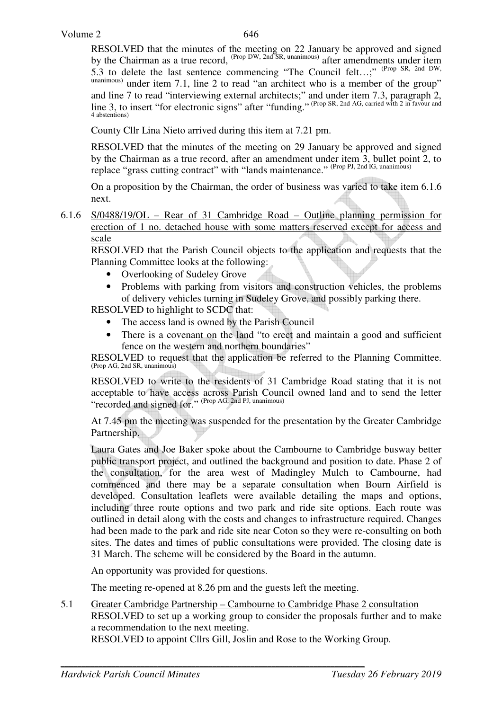RESOLVED that the minutes of the meeting on 22 January be approved and signed by the Chairman as a true record, <sup>(Prop DW, 2nd SR, unanimous)</sup> after amendments under item 5.3 to delete the last sentence commencing "The Council felt…;" (Prop SR, 2nd DW, unanimous) under item 7.1, line 2 to read "an architect who is a member of the group" and line 7 to read "interviewing external architects;" and under item 7.3, paragraph 2, line 3, to insert "for electronic signs" after "funding." (Prop SR, 2nd AG, carried with 2 in favour and 4 abstentions)

County Cllr Lina Nieto arrived during this item at 7.21 pm.

RESOLVED that the minutes of the meeting on 29 January be approved and signed by the Chairman as a true record, after an amendment under item 3, bullet point 2, to replace "grass cutting contract" with "lands maintenance." (Prop PJ, 2nd IG, unanimous)

On a proposition by the Chairman, the order of business was varied to take item 6.1.6 next.

6.1.6 S/0488/19/OL – Rear of 31 Cambridge Road – Outline planning permission for erection of 1 no. detached house with some matters reserved except for access and scale

 RESOLVED that the Parish Council objects to the application and requests that the Planning Committee looks at the following:

- Overlooking of Sudeley Grove
- Problems with parking from visitors and construction vehicles, the problems of delivery vehicles turning in Sudeley Grove, and possibly parking there.

RESOLVED to highlight to SCDC that:

- The access land is owned by the Parish Council
- There is a covenant on the land "to erect and maintain a good and sufficient fence on the western and northern boundaries"

RESOLVED to request that the application be referred to the Planning Committee. (Prop AG, 2nd SR, unanimous)

RESOLVED to write to the residents of 31 Cambridge Road stating that it is not acceptable to have access across Parish Council owned land and to send the letter "recorded and signed for." (Prop AG, 2nd PJ, unanimous)

At 7.45 pm the meeting was suspended for the presentation by the Greater Cambridge Partnership.

Laura Gates and Joe Baker spoke about the Cambourne to Cambridge busway better public transport project, and outlined the background and position to date. Phase 2 of the consultation, for the area west of Madingley Mulch to Cambourne, had commenced and there may be a separate consultation when Bourn Airfield is developed. Consultation leaflets were available detailing the maps and options, including three route options and two park and ride site options. Each route was outlined in detail along with the costs and changes to infrastructure required. Changes had been made to the park and ride site near Coton so they were re-consulting on both sites. The dates and times of public consultations were provided. The closing date is 31 March. The scheme will be considered by the Board in the autumn.

An opportunity was provided for questions.

The meeting re-opened at 8.26 pm and the guests left the meeting.

5.1 Greater Cambridge Partnership – Cambourne to Cambridge Phase 2 consultation RESOLVED to set up a working group to consider the proposals further and to make a recommendation to the next meeting.

RESOLVED to appoint Cllrs Gill, Joslin and Rose to the Working Group.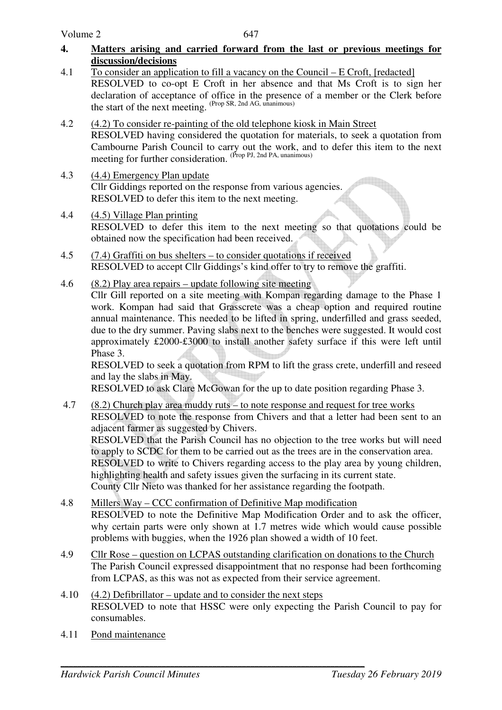- **4. Matters arising and carried forward from the last or previous meetings for discussion/decisions**
- 4.1 To consider an application to fill a vacancy on the Council E Croft, [redacted] RESOLVED to co-opt E Croft in her absence and that Ms Croft is to sign her declaration of acceptance of office in the presence of a member or the Clerk before the start of the next meeting. (Prop SR, 2nd AG, unanimous)
- 4.2 (4.2) To consider re-painting of the old telephone kiosk in Main Street RESOLVED having considered the quotation for materials, to seek a quotation from Cambourne Parish Council to carry out the work, and to defer this item to the next meeting for further consideration. <sup>(Prop PJ, 2nd PA, unanimous)</sup>
- 4.3 (4.4) Emergency Plan update Cllr Giddings reported on the response from various agencies. RESOLVED to defer this item to the next meeting.
- 4.4 (4.5) Village Plan printing RESOLVED to defer this item to the next meeting so that quotations could be obtained now the specification had been received.
- 4.5 (7.4) Graffiti on bus shelters to consider quotations if received RESOLVED to accept Cllr Giddings's kind offer to try to remove the graffiti.
- 4.6 (8.2) Play area repairs update following site meeting Cllr Gill reported on a site meeting with Kompan regarding damage to the Phase 1 work. Kompan had said that Grasscrete was a cheap option and required routine annual maintenance. This needed to be lifted in spring, underfilled and grass seeded, due to the dry summer. Paving slabs next to the benches were suggested. It would cost approximately £2000-£3000 to install another safety surface if this were left until Phase 3.

RESOLVED to seek a quotation from RPM to lift the grass crete, underfill and reseed and lay the slabs in May.

RESOLVED to ask Clare McGowan for the up to date position regarding Phase 3.

- 4.7 (8.2) Church play area muddy ruts to note response and request for tree works RESOLVED to note the response from Chivers and that a letter had been sent to an adjacent farmer as suggested by Chivers. RESOLVED that the Parish Council has no objection to the tree works but will need to apply to SCDC for them to be carried out as the trees are in the conservation area. RESOLVED to write to Chivers regarding access to the play area by young children, highlighting health and safety issues given the surfacing in its current state. County Cllr Nieto was thanked for her assistance regarding the footpath. 4.8 Millers Way – CCC confirmation of Definitive Map modification
- RESOLVED to note the Definitive Map Modification Order and to ask the officer, why certain parts were only shown at 1.7 metres wide which would cause possible problems with buggies, when the 1926 plan showed a width of 10 feet.
- 4.9 Cllr Rose question on LCPAS outstanding clarification on donations to the Church The Parish Council expressed disappointment that no response had been forthcoming from LCPAS, as this was not as expected from their service agreement.
- 4.10  $(4.2)$  Defibrillator update and to consider the next steps RESOLVED to note that HSSC were only expecting the Parish Council to pay for consumables.
- 4.11 Pond maintenance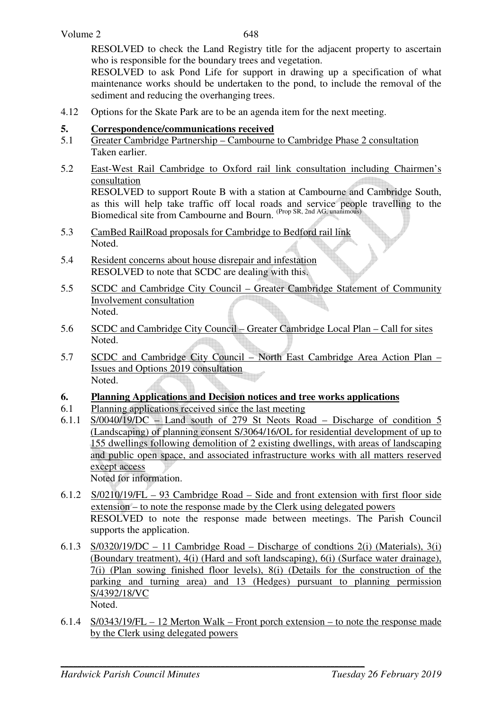RESOLVED to check the Land Registry title for the adjacent property to ascertain who is responsible for the boundary trees and vegetation.

RESOLVED to ask Pond Life for support in drawing up a specification of what maintenance works should be undertaken to the pond, to include the removal of the sediment and reducing the overhanging trees.

4.12 Options for the Skate Park are to be an agenda item for the next meeting.

### **5. Correspondence/communications received**

- 5.1 Greater Cambridge Partnership Cambourne to Cambridge Phase 2 consultation Taken earlier.
- 5.2 East-West Rail Cambridge to Oxford rail link consultation including Chairmen's consultation RESOLVED to support Route B with a station at Cambourne and Cambridge South,

as this will help take traffic off local roads and service people travelling to the Biomedical site from Cambourne and Bourn. (Prop SR, 2nd AG, unanimous)

- 5.3 CamBed RailRoad proposals for Cambridge to Bedford rail link Noted.
- 5.4 Resident concerns about house disrepair and infestation RESOLVED to note that SCDC are dealing with this.
- 5.5 SCDC and Cambridge City Council Greater Cambridge Statement of Community Involvement consultation Noted.
- 5.6 SCDC and Cambridge City Council Greater Cambridge Local Plan Call for sites Noted.
- 5.7 SCDC and Cambridge City Council North East Cambridge Area Action Plan Issues and Options 2019 consultation Noted.

### **6. Planning Applications and Decision notices and tree works applications**

- 6.1 Planning applications received since the last meeting
- 6.1.1 S/0040/19/DC Land south of 279 St Neots Road Discharge of condition 5 (Landscaping) of planning consent S/3064/16/OL for residential development of up to 155 dwellings following demolition of 2 existing dwellings, with areas of landscaping and public open space, and associated infrastructure works with all matters reserved except access

Noted for information.

- 6.1.2 S/0210/19/FL 93 Cambridge Road Side and front extension with first floor side extension – to note the response made by the Clerk using delegated powers RESOLVED to note the response made between meetings. The Parish Council supports the application.
- 6.1.3 S/0320/19/DC 11 Cambridge Road Discharge of condtions 2(i) (Materials), 3(i) (Boundary treatment), 4(i) (Hard and soft landscaping), 6(i) (Surface water drainage), 7(i) (Plan sowing finished floor levels), 8(i) (Details for the construction of the parking and turning area) and 13 (Hedges) pursuant to planning permission S/4392/18/VC

Noted.

6.1.4 S/0343/19/FL – 12 Merton Walk – Front porch extension – to note the response made by the Clerk using delegated powers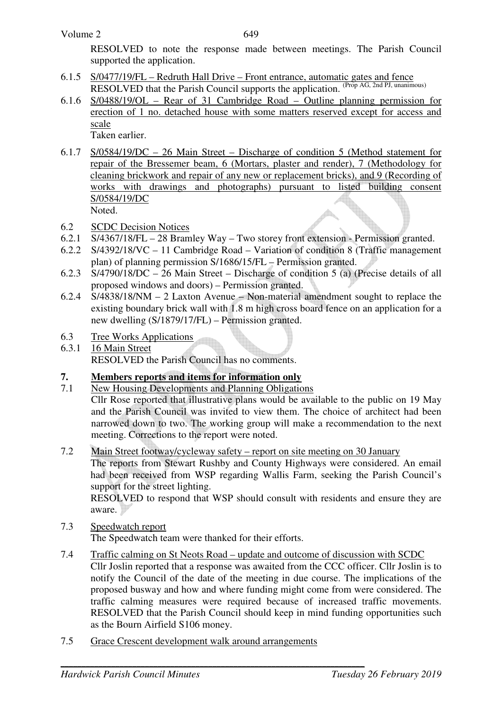RESOLVED to note the response made between meetings. The Parish Council supported the application.

- 6.1.5 S/0477/19/FL Redruth Hall Drive Front entrance, automatic gates and fence RESOLVED that the Parish Council supports the application. (Prop AG, 2nd PJ, unanimous)
- 6.1.6 S/0488/19/OL Rear of 31 Cambridge Road Outline planning permission for erection of 1 no. detached house with some matters reserved except for access and scale

Taken earlier.

6.1.7 S/0584/19/DC – 26 Main Street – Discharge of condition 5 (Method statement for repair of the Bressemer beam, 6 (Mortars, plaster and render), 7 (Methodology for cleaning brickwork and repair of any new or replacement bricks), and 9 (Recording of works with drawings and photographs) pursuant to listed building consent S/0584/19/DC db.

Noted.

- 6.2 SCDC Decision Notices
- 6.2.1 S/4367/18/FL 28 Bramley Way Two storey front extension Permission granted.
- 6.2.2 S/4392/18/VC 11 Cambridge Road Variation of condition 8 (Traffic management plan) of planning permission S/1686/15/FL – Permission granted.
- 6.2.3 S/4790/18/DC 26 Main Street Discharge of condition 5 (a) (Precise details of all proposed windows and doors) – Permission granted.
- 6.2.4 S/4838/18/NM 2 Laxton Avenue Non-material amendment sought to replace the existing boundary brick wall with 1.8 m high cross board fence on an application for a new dwelling (S/1879/17/FL) – Permission granted.
- 6.3 Tree Works Applications
- 6.3.1 16 Main Street

RESOLVED the Parish Council has no comments.

# **7. Members reports and items for information only**<br>**7.1** New Housing Developments and Planning Obligation

New Housing Developments and Planning Obligations

Cllr Rose reported that illustrative plans would be available to the public on 19 May and the Parish Council was invited to view them. The choice of architect had been narrowed down to two. The working group will make a recommendation to the next meeting. Corrections to the report were noted.

### 7.2 Main Street footway/cycleway safety – report on site meeting on 30 January

 The reports from Stewart Rushby and County Highways were considered. An email had been received from WSP regarding Wallis Farm, seeking the Parish Council's support for the street lighting.

RESOLVED to respond that WSP should consult with residents and ensure they are aware.

## 7.3 Speedwatch report

The Speedwatch team were thanked for their efforts.

- 7.4 Traffic calming on St Neots Road update and outcome of discussion with SCDC Cllr Joslin reported that a response was awaited from the CCC officer. Cllr Joslin is to notify the Council of the date of the meeting in due course. The implications of the proposed busway and how and where funding might come from were considered. The traffic calming measures were required because of increased traffic movements. RESOLVED that the Parish Council should keep in mind funding opportunities such as the Bourn Airfield S106 money.
- 7.5 Grace Crescent development walk around arrangements